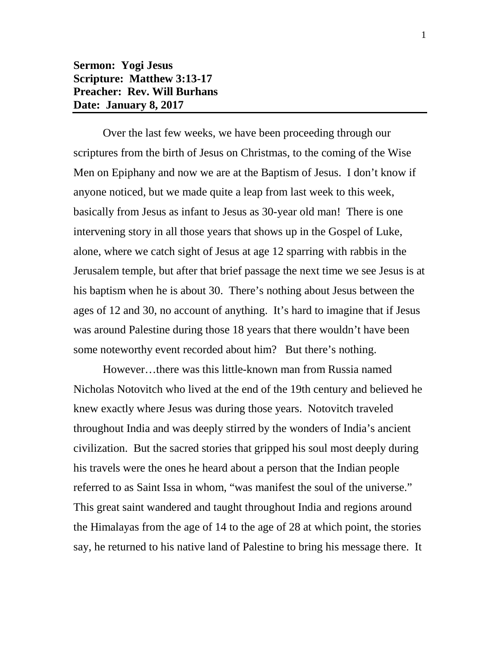## **Sermon: Yogi Jesus Scripture: Matthew 3:13-17 Preacher: Rev. Will Burhans Date: January 8, 2017**

Over the last few weeks, we have been proceeding through our scriptures from the birth of Jesus on Christmas, to the coming of the Wise Men on Epiphany and now we are at the Baptism of Jesus. I don't know if anyone noticed, but we made quite a leap from last week to this week, basically from Jesus as infant to Jesus as 30-year old man! There is one intervening story in all those years that shows up in the Gospel of Luke, alone, where we catch sight of Jesus at age 12 sparring with rabbis in the Jerusalem temple, but after that brief passage the next time we see Jesus is at his baptism when he is about 30. There's nothing about Jesus between the ages of 12 and 30, no account of anything. It's hard to imagine that if Jesus was around Palestine during those 18 years that there wouldn't have been some noteworthy event recorded about him? But there's nothing.

However…there was this little-known man from Russia named Nicholas Notovitch who lived at the end of the 19th century and believed he knew exactly where Jesus was during those years. Notovitch traveled throughout India and was deeply stirred by the wonders of India's ancient civilization. But the sacred stories that gripped his soul most deeply during his travels were the ones he heard about a person that the Indian people referred to as Saint Issa in whom, "was manifest the soul of the universe." This great saint wandered and taught throughout India and regions around the Himalayas from the age of 14 to the age of 28 at which point, the stories say, he returned to his native land of Palestine to bring his message there. It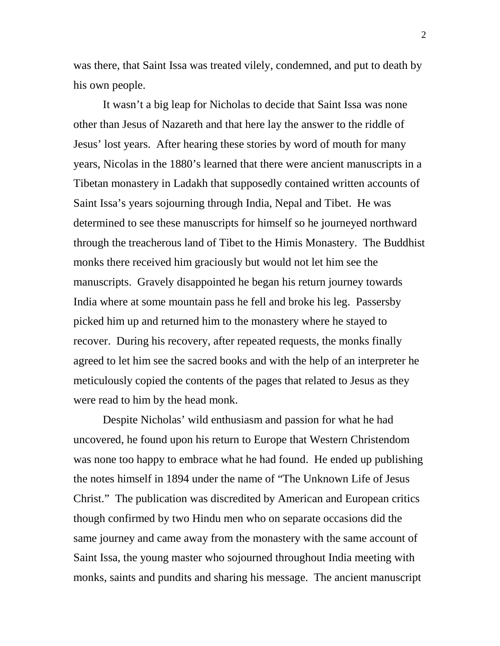was there, that Saint Issa was treated vilely, condemned, and put to death by his own people.

It wasn't a big leap for Nicholas to decide that Saint Issa was none other than Jesus of Nazareth and that here lay the answer to the riddle of Jesus' lost years. After hearing these stories by word of mouth for many years, Nicolas in the 1880's learned that there were ancient manuscripts in a Tibetan monastery in Ladakh that supposedly contained written accounts of Saint Issa's years sojourning through India, Nepal and Tibet. He was determined to see these manuscripts for himself so he journeyed northward through the treacherous land of Tibet to the Himis Monastery. The Buddhist monks there received him graciously but would not let him see the manuscripts. Gravely disappointed he began his return journey towards India where at some mountain pass he fell and broke his leg. Passersby picked him up and returned him to the monastery where he stayed to recover. During his recovery, after repeated requests, the monks finally agreed to let him see the sacred books and with the help of an interpreter he meticulously copied the contents of the pages that related to Jesus as they were read to him by the head monk.

Despite Nicholas' wild enthusiasm and passion for what he had uncovered, he found upon his return to Europe that Western Christendom was none too happy to embrace what he had found. He ended up publishing the notes himself in 1894 under the name of "The Unknown Life of Jesus Christ." The publication was discredited by American and European critics though confirmed by two Hindu men who on separate occasions did the same journey and came away from the monastery with the same account of Saint Issa, the young master who sojourned throughout India meeting with monks, saints and pundits and sharing his message. The ancient manuscript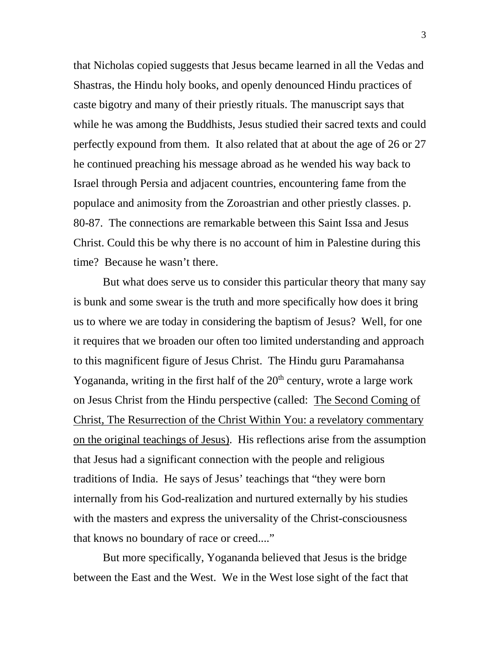that Nicholas copied suggests that Jesus became learned in all the Vedas and Shastras, the Hindu holy books, and openly denounced Hindu practices of caste bigotry and many of their priestly rituals. The manuscript says that while he was among the Buddhists, Jesus studied their sacred texts and could perfectly expound from them. It also related that at about the age of 26 or 27 he continued preaching his message abroad as he wended his way back to Israel through Persia and adjacent countries, encountering fame from the populace and animosity from the Zoroastrian and other priestly classes. p. 80-87. The connections are remarkable between this Saint Issa and Jesus Christ. Could this be why there is no account of him in Palestine during this time? Because he wasn't there.

But what does serve us to consider this particular theory that many say is bunk and some swear is the truth and more specifically how does it bring us to where we are today in considering the baptism of Jesus? Well, for one it requires that we broaden our often too limited understanding and approach to this magnificent figure of Jesus Christ. The Hindu guru Paramahansa Yogananda, writing in the first half of the  $20<sup>th</sup>$  century, wrote a large work on Jesus Christ from the Hindu perspective (called: The Second Coming of Christ, The Resurrection of the Christ Within You: a revelatory commentary on the original teachings of Jesus). His reflections arise from the assumption that Jesus had a significant connection with the people and religious traditions of India. He says of Jesus' teachings that "they were born internally from his God-realization and nurtured externally by his studies with the masters and express the universality of the Christ-consciousness that knows no boundary of race or creed...."

But more specifically, Yogananda believed that Jesus is the bridge between the East and the West. We in the West lose sight of the fact that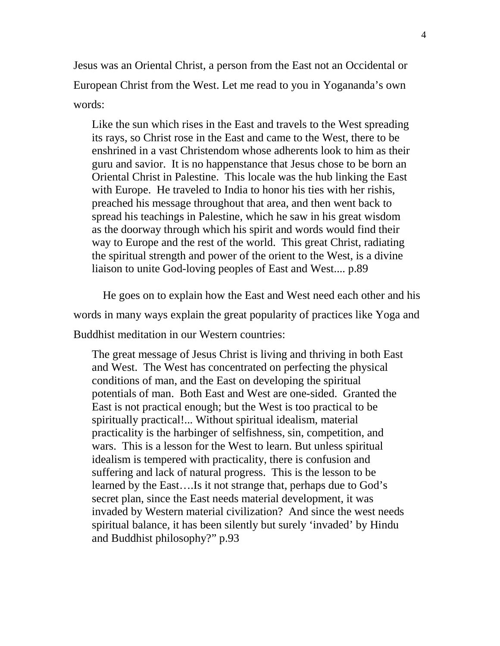Jesus was an Oriental Christ, a person from the East not an Occidental or European Christ from the West. Let me read to you in Yogananda's own words:

Like the sun which rises in the East and travels to the West spreading its rays, so Christ rose in the East and came to the West, there to be enshrined in a vast Christendom whose adherents look to him as their guru and savior. It is no happenstance that Jesus chose to be born an Oriental Christ in Palestine. This locale was the hub linking the East with Europe. He traveled to India to honor his ties with her rishis, preached his message throughout that area, and then went back to spread his teachings in Palestine, which he saw in his great wisdom as the doorway through which his spirit and words would find their way to Europe and the rest of the world. This great Christ, radiating the spiritual strength and power of the orient to the West, is a divine liaison to unite God-loving peoples of East and West.... p.89

He goes on to explain how the East and West need each other and his words in many ways explain the great popularity of practices like Yoga and Buddhist meditation in our Western countries:

The great message of Jesus Christ is living and thriving in both East and West. The West has concentrated on perfecting the physical conditions of man, and the East on developing the spiritual potentials of man. Both East and West are one-sided. Granted the East is not practical enough; but the West is too practical to be spiritually practical!... Without spiritual idealism, material practicality is the harbinger of selfishness, sin, competition, and wars. This is a lesson for the West to learn. But unless spiritual idealism is tempered with practicality, there is confusion and suffering and lack of natural progress. This is the lesson to be learned by the East….Is it not strange that, perhaps due to God's secret plan, since the East needs material development, it was invaded by Western material civilization? And since the west needs spiritual balance, it has been silently but surely 'invaded' by Hindu and Buddhist philosophy?" p.93